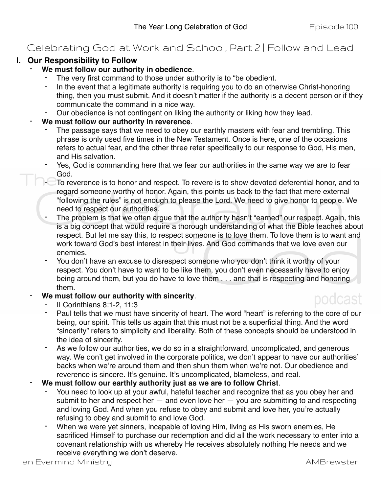# Celebrating God at Work and School, Part 2 | Follow and Lead

## **I. Our Responsibility to Follow**

#### - **We must follow our authority in obedience**.

- The very first command to those under authority is to "be obedient.
- In the event that a legitimate authority is requiring you to do an otherwise Christ-honoring thing, then you must submit. And it doesn't matter if the authority is a decent person or if they communicate the command in a nice way.
- Our obedience is not contingent on liking the authority or liking how they lead.
- We must follow our authority in reverence.
	- The passage says that we need to obey our earthly masters with fear and trembling. This phrase is only used five times in the New Testament. Once is here, one of the occasions refers to actual fear, and the other three refer specifically to our response to God, His men, and His salvation.
	- Yes, God is commanding here that we fear our authorities in the same way we are to fear God.
	- To reverence is to honor and respect. To revere is to show devoted deferential honor, and to regard someone worthy of honor. Again, this points us back to the fact that mere external "following the rules" is not enough to please the Lord. We need to give honor to people. We need to respect our authorities.
	- The problem is that we often argue that the authority hasn't "earned" our respect. Again, this is a big concept that would require a thorough understanding of what the Bible teaches about respect. But let me say this, to respect someone is to love them. To love them is to want and work toward God's best interest in their lives. And God commands that we love even our enemies.
	- You don't have an excuse to disrespect someone who you don't think it worthy of your respect. You don't have to want to be like them, you don't even necessarily have to enjoy being around them, but you do have to love them . . . and that is respecting and honoring them.

#### We must follow our authority with sincerity.

# podcast

- II Corinthians 8:1-2, 11:3
- Paul tells that we must have sincerity of heart. The word "heart" is referring to the core of our being, our spirit. This tells us again that this must not be a superficial thing. And the word "sincerity" refers to simplicity and liberality. Both of these concepts should be understood in the idea of sincerity.
- As we follow our authorities, we do so in a straightforward, uncomplicated, and generous way. We don't get involved in the corporate politics, we don't appear to have our authorities' backs when we're around them and then shun them when we're not. Our obedience and reverence is sincere. It's genuine. It's uncomplicated, blameless, and real.
- We must follow our earthly authority just as we are to follow Christ.
	- You need to look up at your awful, hateful teacher and recognize that as you obey her and submit to her and respect her — and even love her — you are submitting to and respecting and loving God. And when you refuse to obey and submit and love her, you're actually refusing to obey and submit to and love God.
	- When we were yet sinners, incapable of loving Him, living as His sworn enemies, He sacrificed Himself to purchase our redemption and did all the work necessary to enter into a covenant relationship with us whereby He receives absolutely nothing He needs and we receive everything we don't deserve.